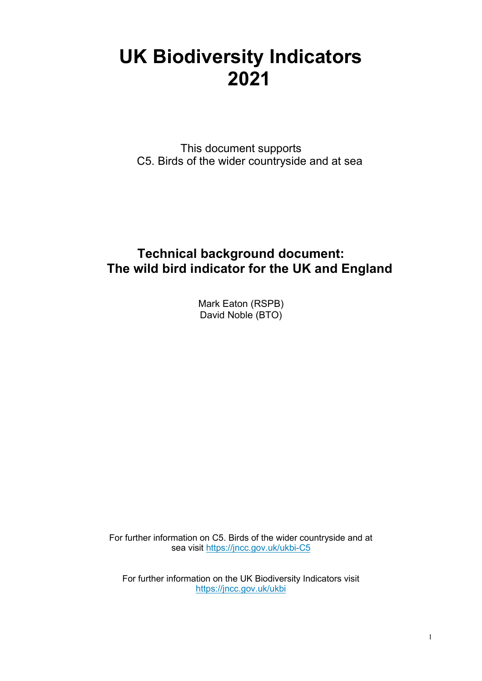# **UK Biodiversity Indicators 2021**

This document supports C5. Birds of the wider countryside and at sea

# **Technical background document: The wild bird indicator for the UK and England**

Mark Eaton (RSPB) David Noble (BTO)

For further information on C5. Birds of the wider countryside and at sea [visit https://jncc.gov.uk/ukbi-C5](https://jncc.gov.uk/ukbi-C5)

For further information on the UK Biodiversity Indicators visit <https://jncc.gov.uk/ukbi>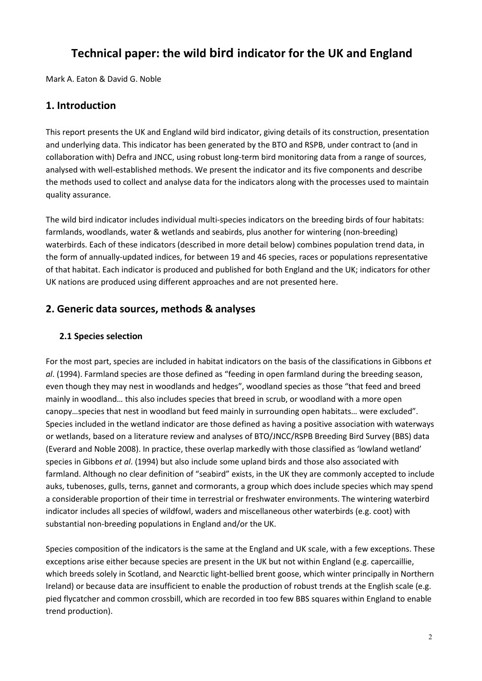## **Technical paper: the wild bird indicator for the UK and England**

Mark A. Eaton & David G. Noble

### **1. Introduction**

This report presents the UK and England wild bird indicator, giving details of its construction, presentation and underlying data. This indicator has been generated by the BTO and RSPB, under contract to (and in collaboration with) Defra and JNCC, using robust long-term bird monitoring data from a range of sources, analysed with well-established methods. We present the indicator and its five components and describe the methods used to collect and analyse data for the indicators along with the processes used to maintain quality assurance.

The wild bird indicator includes individual multi-species indicators on the breeding birds of four habitats: farmlands, woodlands, water & wetlands and seabirds, plus another for wintering (non-breeding) waterbirds. Each of these indicators (described in more detail below) combines population trend data, in the form of annually-updated indices, for between 19 and 46 species, races or populations representative of that habitat. Each indicator is produced and published for both England and the UK; indicators for other UK nations are produced using different approaches and are not presented here.

### **2. Generic data sources, methods & analyses**

### **2.1 Species selection**

For the most part, species are included in habitat indicators on the basis of the classifications in Gibbons *et al*. (1994). Farmland species are those defined as "feeding in open farmland during the breeding season, even though they may nest in woodlands and hedges", woodland species as those "that feed and breed mainly in woodland… this also includes species that breed in scrub, or woodland with a more open canopy…species that nest in woodland but feed mainly in surrounding open habitats… were excluded". Species included in the wetland indicator are those defined as having a positive association with waterways or wetlands, based on a literature review and analyses of BTO/JNCC/RSPB Breeding Bird Survey (BBS) data (Everard and Noble 2008). In practice, these overlap markedly with those classified as 'lowland wetland' species in Gibbons *et al*. (1994) but also include some upland birds and those also associated with farmland. Although no clear definition of "seabird" exists, in the UK they are commonly accepted to include auks, tubenoses, gulls, terns, gannet and cormorants, a group which does include species which may spend a considerable proportion of their time in terrestrial or freshwater environments. The wintering waterbird indicator includes all species of wildfowl, waders and miscellaneous other waterbirds (e.g. coot) with substantial non-breeding populations in England and/or the UK.

Species composition of the indicators is the same at the England and UK scale, with a few exceptions. These exceptions arise either because species are present in the UK but not within England (e.g. capercaillie, which breeds solely in Scotland, and Nearctic light-bellied brent goose, which winter principally in Northern Ireland) or because data are insufficient to enable the production of robust trends at the English scale (e.g. pied flycatcher and common crossbill, which are recorded in too few BBS squares within England to enable trend production).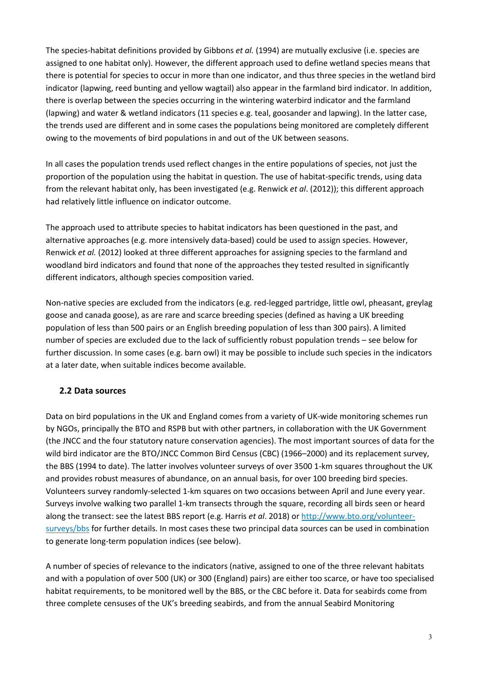The species-habitat definitions provided by Gibbons *et al.* (1994) are mutually exclusive (i.e. species are assigned to one habitat only). However, the different approach used to define wetland species means that there is potential for species to occur in more than one indicator, and thus three species in the wetland bird indicator (lapwing, reed bunting and yellow wagtail) also appear in the farmland bird indicator. In addition, there is overlap between the species occurring in the wintering waterbird indicator and the farmland (lapwing) and water & wetland indicators (11 species e.g. teal, goosander and lapwing). In the latter case, the trends used are different and in some cases the populations being monitored are completely different owing to the movements of bird populations in and out of the UK between seasons.

In all cases the population trends used reflect changes in the entire populations of species, not just the proportion of the population using the habitat in question. The use of habitat-specific trends, using data from the relevant habitat only, has been investigated (e.g. Renwick *et al*. (2012)); this different approach had relatively little influence on indicator outcome.

The approach used to attribute species to habitat indicators has been questioned in the past, and alternative approaches (e.g. more intensively data-based) could be used to assign species. However, Renwick *et al.* (2012) looked at three different approaches for assigning species to the farmland and woodland bird indicators and found that none of the approaches they tested resulted in significantly different indicators, although species composition varied.

Non-native species are excluded from the indicators (e.g. red-legged partridge, little owl, pheasant, greylag goose and canada goose), as are rare and scarce breeding species (defined as having a UK breeding population of less than 500 pairs or an English breeding population of less than 300 pairs). A limited number of species are excluded due to the lack of sufficiently robust population trends – see below for further discussion. In some cases (e.g. barn owl) it may be possible to include such species in the indicators at a later date, when suitable indices become available.

### **2.2 Data sources**

Data on bird populations in the UK and England comes from a variety of UK-wide monitoring schemes run by NGOs, principally the BTO and RSPB but with other partners, in collaboration with the UK Government (the JNCC and the four statutory nature conservation agencies). The most important sources of data for the wild bird indicator are the BTO/JNCC Common Bird Census (CBC) (1966–2000) and its replacement survey, the BBS (1994 to date). The latter involves volunteer surveys of over 3500 1-km squares throughout the UK and provides robust measures of abundance, on an annual basis, for over 100 breeding bird species. Volunteers survey randomly-selected 1-km squares on two occasions between April and June every year. Surveys involve walking two parallel 1-km transects through the square, recording all birds seen or heard along the transect: see the latest BBS report (e.g. Harris *et al*. 2018) o[r http://www.bto.org/volunteer](http://www.bto.org/volunteer-surveys/bbs)[surveys/bbs](http://www.bto.org/volunteer-surveys/bbs) for further details. In most cases these two principal data sources can be used in combination to generate long-term population indices (see below).

A number of species of relevance to the indicators (native, assigned to one of the three relevant habitats and with a population of over 500 (UK) or 300 (England) pairs) are either too scarce, or have too specialised habitat requirements, to be monitored well by the BBS, or the CBC before it. Data for seabirds come from three complete censuses of the UK's breeding seabirds, and from the annual Seabird Monitoring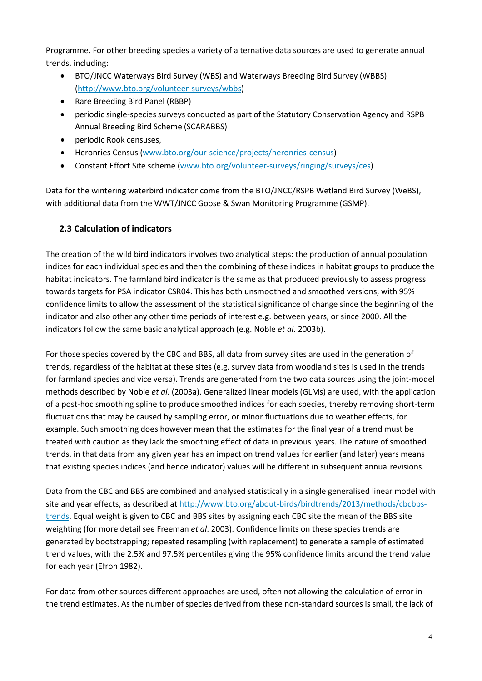Programme. For other breeding species a variety of alternative data sources are used to generate annual trends, including:

- BTO/JNCC Waterways Bird Survey (WBS) and Waterways Breeding Bird Survey (WBBS[\)](http://www.bto.org/volunteer-surveys/wbbs) [\(http://www.bto.org/volunteer-surveys/wbbs\)](http://www.bto.org/volunteer-surveys/wbbs)
- Rare Breeding Bird Panel (RBBP)
- periodic single-species surveys conducted as part of the Statutory Conservation Agency and RSPB Annual Breeding Bird Scheme (SCARABBS)
- periodic Rook censuses,
- Heronries Census [\(www.bto.org/our-science/projects/heronries-census\)](https://www.bto.org/our-science/projects/heronries-census)
- Constant Effort Site scheme [\(www.bto.org/volunteer-surveys/ringing/surveys/ces\)](http://www.bto.org/volunteer-surveys/ringing/surveys/ces)

Data for the wintering waterbird indicator come from the BTO/JNCC/RSPB Wetland Bird Survey (WeBS), with additional data from the WWT/JNCC Goose & Swan Monitoring Programme (GSMP).

### **2.3 Calculation of indicators**

The creation of the wild bird indicators involves two analytical steps: the production of annual population indices for each individual species and then the combining of these indices in habitat groups to produce the habitat indicators. The farmland bird indicator is the same as that produced previously to assess progress towards targets for PSA indicator CSR04. This has both unsmoothed and smoothed versions, with 95% confidence limits to allow the assessment of the statistical significance of change since the beginning of the indicator and also other any other time periods of interest e.g. between years, or since 2000. All the indicators follow the same basic analytical approach (e.g. Noble *et al*. 2003b).

For those species covered by the CBC and BBS, all data from survey sites are used in the generation of trends, regardless of the habitat at these sites (e.g. survey data from woodland sites is used in the trends for farmland species and vice versa). Trends are generated from the two data sources using the joint-model methods described by Noble *et al*. (2003a). Generalized linear models (GLMs) are used, with the application of a post-hoc smoothing spline to produce smoothed indices for each species, thereby removing short-term fluctuations that may be caused by sampling error, or minor fluctuations due to weather effects, for example. Such smoothing does however mean that the estimates for the final year of a trend must be treated with caution as they lack the smoothing effect of data in previous years. The nature of smoothed trends, in that data from any given year has an impact on trend values for earlier (and later) years means that existing species indices (and hence indicator) values will be different in subsequent annualrevisions.

Data from the CBC and BBS are combined and analysed statistically in a single generalised linear model with site and year effects, as described a[t http://www.bto.org/about-birds/birdtrends/2013/methods/cbcbbs](http://www.bto.org/about-birds/birdtrends/2013/methods/cbcbbs-trends)[trends. E](http://www.bto.org/about-birds/birdtrends/2013/methods/cbcbbs-trends)qual weight is given to CBC and BBS sites by assigning each CBC site the mean of the BBS site weighting (for more detail see Freeman *et al*. 2003). Confidence limits on these species trends are generated by bootstrapping; repeated resampling (with replacement) to generate a sample of estimated trend values, with the 2.5% and 97.5% percentiles giving the 95% confidence limits around the trend value for each year (Efron 1982).

For data from other sources different approaches are used, often not allowing the calculation of error in the trend estimates. As the number of species derived from these non-standard sources is small, the lack of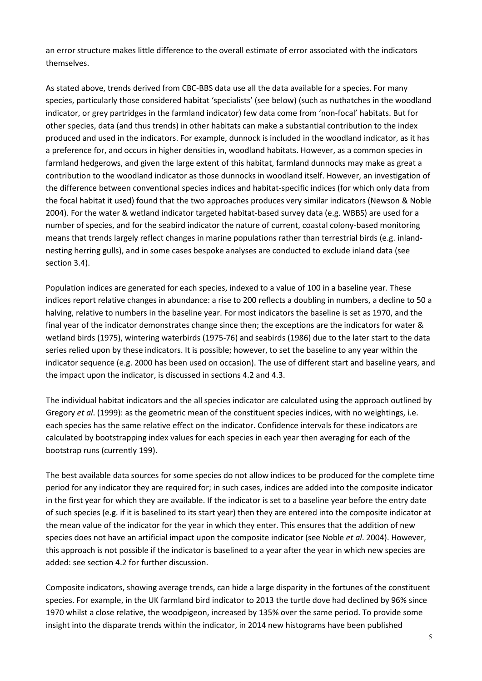an error structure makes little difference to the overall estimate of error associated with the indicators themselves.

As stated above, trends derived from CBC-BBS data use all the data available for a species. For many species, particularly those considered habitat 'specialists' (see below) (such as nuthatches in the woodland indicator, or grey partridges in the farmland indicator) few data come from 'non-focal' habitats. But for other species, data (and thus trends) in other habitats can make a substantial contribution to the index produced and used in the indicators. For example, dunnock is included in the woodland indicator, as it has a preference for, and occurs in higher densities in, woodland habitats. However, as a common species in farmland hedgerows, and given the large extent of this habitat, farmland dunnocks may make as great a contribution to the woodland indicator as those dunnocks in woodland itself. However, an investigation of the difference between conventional species indices and habitat-specific indices (for which only data from the focal habitat it used) found that the two approaches produces very similar indicators (Newson & Noble 2004). For the water & wetland indicator targeted habitat-based survey data (e.g. WBBS) are used for a number of species, and for the seabird indicator the nature of current, coastal colony-based monitoring means that trends largely reflect changes in marine populations rather than terrestrial birds (e.g. inlandnesting herring gulls), and in some cases bespoke analyses are conducted to exclude inland data (see section 3.4).

Population indices are generated for each species, indexed to a value of 100 in a baseline year. These indices report relative changes in abundance: a rise to 200 reflects a doubling in numbers, a decline to 50 a halving, relative to numbers in the baseline year. For most indicators the baseline is set as 1970, and the final year of the indicator demonstrates change since then; the exceptions are the indicators for water & wetland birds (1975), wintering waterbirds (1975-76) and seabirds (1986) due to the later start to the data series relied upon by these indicators. It is possible; however, to set the baseline to any year within the indicator sequence (e.g. 2000 has been used on occasion). The use of different start and baseline years, and the impact upon the indicator, is discussed in sections 4.2 and 4.3.

The individual habitat indicators and the all species indicator are calculated using the approach outlined by Gregory *et al*. (1999): as the geometric mean of the constituent species indices, with no weightings, i.e. each species has the same relative effect on the indicator. Confidence intervals for these indicators are calculated by bootstrapping index values for each species in each year then averaging for each of the bootstrap runs (currently 199).

The best available data sources for some species do not allow indices to be produced for the complete time period for any indicator they are required for; in such cases, indices are added into the composite indicator in the first year for which they are available. If the indicator is set to a baseline year before the entry date of such species (e.g. if it is baselined to its start year) then they are entered into the composite indicator at the mean value of the indicator for the year in which they enter. This ensures that the addition of new species does not have an artificial impact upon the composite indicator (see Noble *et al*. 2004). However, this approach is not possible if the indicator is baselined to a year after the year in which new species are added: see section 4.2 for further discussion.

Composite indicators, showing average trends, can hide a large disparity in the fortunes of the constituent species. For example, in the UK farmland bird indicator to 2013 the turtle dove had declined by 96% since 1970 whilst a close relative, the woodpigeon, increased by 135% over the same period. To provide some insight into the disparate trends within the indicator, in 2014 new histograms have been published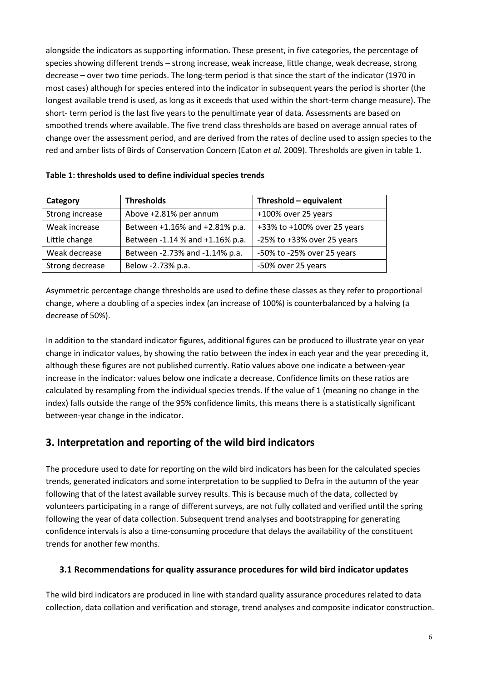alongside the indicators as supporting information. These present, in five categories, the percentage of species showing different trends – strong increase, weak increase, little change, weak decrease, strong decrease – over two time periods. The long-term period is that since the start of the indicator (1970 in most cases) although for species entered into the indicator in subsequent years the period is shorter (the longest available trend is used, as long as it exceeds that used within the short-term change measure). The short- term period is the last five years to the penultimate year of data. Assessments are based on smoothed trends where available. The five trend class thresholds are based on average annual rates of change over the assessment period, and are derived from the rates of decline used to assign species to the red and amber lists of Birds of Conservation Concern (Eaton *et al.* 2009). Thresholds are given in table 1.

| Category        | <b>Thresholds</b>               | Threshold - equivalent      |
|-----------------|---------------------------------|-----------------------------|
| Strong increase | Above +2.81% per annum          | +100% over 25 years         |
| Weak increase   | Between +1.16% and +2.81% p.a.  | +33% to +100% over 25 years |
| Little change   | Between -1.14 % and +1.16% p.a. | -25% to +33% over 25 years  |
| Weak decrease   | Between -2.73% and -1.14% p.a.  | -50% to -25% over 25 years  |
| Strong decrease | Below -2.73% p.a.               | -50% over 25 years          |

#### **Table 1: thresholds used to define individual species trends**

Asymmetric percentage change thresholds are used to define these classes as they refer to proportional change, where a doubling of a species index (an increase of 100%) is counterbalanced by a halving (a decrease of 50%).

In addition to the standard indicator figures, additional figures can be produced to illustrate year on year change in indicator values, by showing the ratio between the index in each year and the year preceding it, although these figures are not published currently. Ratio values above one indicate a between-year increase in the indicator: values below one indicate a decrease. Confidence limits on these ratios are calculated by resampling from the individual species trends. If the value of 1 (meaning no change in the index) falls outside the range of the 95% confidence limits, this means there is a statistically significant between-year change in the indicator.

### **3. Interpretation and reporting of the wild bird indicators**

The procedure used to date for reporting on the wild bird indicators has been for the calculated species trends, generated indicators and some interpretation to be supplied to Defra in the autumn of the year following that of the latest available survey results. This is because much of the data, collected by volunteers participating in a range of different surveys, are not fully collated and verified until the spring following the year of data collection. Subsequent trend analyses and bootstrapping for generating confidence intervals is also a time-consuming procedure that delays the availability of the constituent trends for another few months.

#### **3.1 Recommendations for quality assurance procedures for wild bird indicator updates**

The wild bird indicators are produced in line with standard quality assurance procedures related to data collection, data collation and verification and storage, trend analyses and composite indicator construction.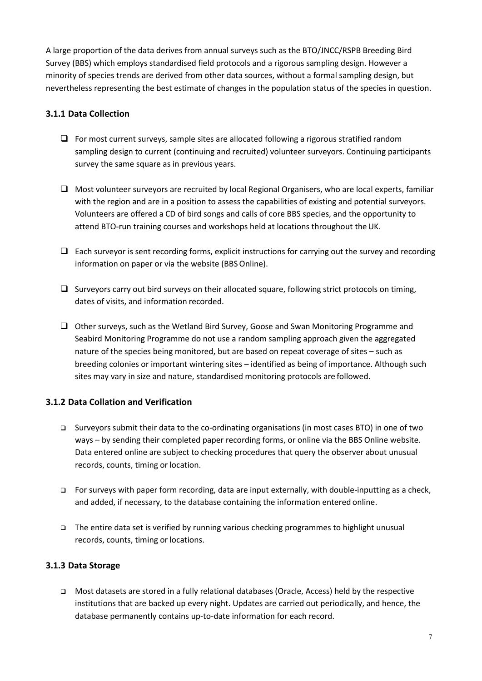A large proportion of the data derives from annual surveys such as the BTO/JNCC/RSPB Breeding Bird Survey (BBS) which employs standardised field protocols and a rigorous sampling design. However a minority of species trends are derived from other data sources, without a formal sampling design, but nevertheless representing the best estimate of changes in the population status of the species in question.

### **3.1.1 Data Collection**

- $\Box$  For most current surveys, sample sites are allocated following a rigorous stratified random sampling design to current (continuing and recruited) volunteer surveyors. Continuing participants survey the same square as in previous years.
- $\Box$  Most volunteer surveyors are recruited by local Regional Organisers, who are local experts, familiar with the region and are in a position to assess the capabilities of existing and potential surveyors. Volunteers are offered a CD of bird songs and calls of core BBS species, and the opportunity to attend BTO-run training courses and workshops held at locations throughout the UK.
- $\Box$  Each surveyor is sent recording forms, explicit instructions for carrying out the survey and recording information on paper or via the website (BBS Online).
- $\Box$  Surveyors carry out bird surveys on their allocated square, following strict protocols on timing, dates of visits, and information recorded.
- Other surveys, such as the Wetland Bird Survey, Goose and Swan Monitoring Programme and Seabird Monitoring Programme do not use a random sampling approach given the aggregated nature of the species being monitored, but are based on repeat coverage of sites – such as breeding colonies or important wintering sites – identified as being of importance. Although such sites may vary in size and nature, standardised monitoring protocols are followed.

### **3.1.2 Data Collation and Verification**

- Surveyors submit their data to the co-ordinating organisations (in most cases BTO) in one of two ways – by sending their completed paper recording forms, or online via the BBS Online website. Data entered online are subject to checking procedures that query the observer about unusual records, counts, timing or location.
- $\Box$  For surveys with paper form recording, data are input externally, with double-inputting as a check, and added, if necessary, to the database containing the information entered online.
- $\Box$  The entire data set is verified by running various checking programmes to highlight unusual records, counts, timing or locations.

#### **3.1.3 Data Storage**

 Most datasets are stored in a fully relational databases (Oracle, Access) held by the respective institutions that are backed up every night. Updates are carried out periodically, and hence, the database permanently contains up-to-date information for each record.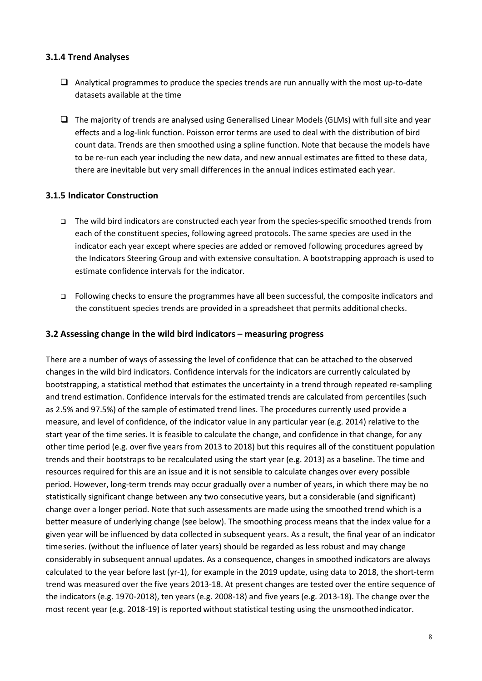### **3.1.4 Trend Analyses**

- $\Box$  Analytical programmes to produce the species trends are run annually with the most up-to-date datasets available at the time
- $\Box$  The majority of trends are analysed using Generalised Linear Models (GLMs) with full site and year effects and a log-link function. Poisson error terms are used to deal with the distribution of bird count data. Trends are then smoothed using a spline function. Note that because the models have to be re-run each year including the new data, and new annual estimates are fitted to these data, there are inevitable but very small differences in the annual indices estimated each year.

#### **3.1.5 Indicator Construction**

- The wild bird indicators are constructed each year from the species-specific smoothed trends from each of the constituent species, following agreed protocols. The same species are used in the indicator each year except where species are added or removed following procedures agreed by the Indicators Steering Group and with extensive consultation. A bootstrapping approach is used to estimate confidence intervals for the indicator.
- Following checks to ensure the programmes have all been successful, the composite indicators and the constituent species trends are provided in a spreadsheet that permits additional checks.

#### **3.2 Assessing change in the wild bird indicators – measuring progress**

There are a number of ways of assessing the level of confidence that can be attached to the observed changes in the wild bird indicators. Confidence intervals for the indicators are currently calculated by bootstrapping, a statistical method that estimates the uncertainty in a trend through repeated re-sampling and trend estimation. Confidence intervals for the estimated trends are calculated from percentiles (such as 2.5% and 97.5%) of the sample of estimated trend lines. The procedures currently used provide a measure, and level of confidence, of the indicator value in any particular year (e.g. 2014) relative to the start year of the time series. It is feasible to calculate the change, and confidence in that change, for any other time period (e.g. over five years from 2013 to 2018) but this requires all of the constituent population trends and their bootstraps to be recalculated using the start year (e.g. 2013) as a baseline. The time and resources required for this are an issue and it is not sensible to calculate changes over every possible period. However, long-term trends may occur gradually over a number of years, in which there may be no statistically significant change between any two consecutive years, but a considerable (and significant) change over a longer period. Note that such assessments are made using the smoothed trend which is a better measure of underlying change (see below). The smoothing process means that the index value for a given year will be influenced by data collected in subsequent years. As a result, the final year of an indicator time series. (without the influence of later years) should be regarded as less robust and may change considerably in subsequent annual updates. As a consequence, changes in smoothed indicators are always calculated to the year before last (yr-1), for example in the 2019 update, using data to 2018, the short-term trend was measured over the five years 2013-18. At present changes are tested over the entire sequence of the indicators (e.g. 1970-2018), ten years (e.g. 2008-18) and five years (e.g. 2013-18). The change over the most recent year (e.g. 2018-19) is reported without statistical testing using the unsmoothedindicator.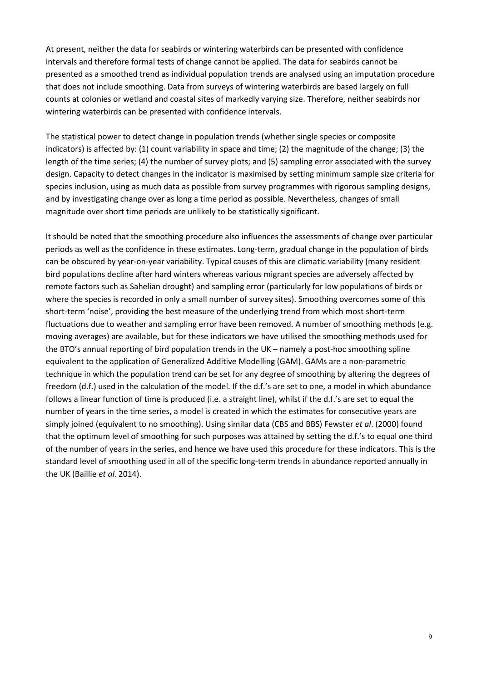At present, neither the data for seabirds or wintering waterbirds can be presented with confidence intervals and therefore formal tests of change cannot be applied. The data for seabirds cannot be presented as a smoothed trend as individual population trends are analysed using an imputation procedure that does not include smoothing. Data from surveys of wintering waterbirds are based largely on full counts at colonies or wetland and coastal sites of markedly varying size. Therefore, neither seabirds nor wintering waterbirds can be presented with confidence intervals.

The statistical power to detect change in population trends (whether single species or composite indicators) is affected by: (1) count variability in space and time; (2) the magnitude of the change; (3) the length of the time series; (4) the number of survey plots; and (5) sampling error associated with the survey design. Capacity to detect changes in the indicator is maximised by setting minimum sample size criteria for species inclusion, using as much data as possible from survey programmes with rigorous sampling designs, and by investigating change over as long a time period as possible. Nevertheless, changes of small magnitude over short time periods are unlikely to be statistically significant.

It should be noted that the smoothing procedure also influences the assessments of change over particular periods as well as the confidence in these estimates. Long-term, gradual change in the population of birds can be obscured by year-on-year variability. Typical causes of this are climatic variability (many resident bird populations decline after hard winters whereas various migrant species are adversely affected by remote factors such as Sahelian drought) and sampling error (particularly for low populations of birds or where the species is recorded in only a small number of survey sites). Smoothing overcomes some of this short-term 'noise', providing the best measure of the underlying trend from which most short-term fluctuations due to weather and sampling error have been removed. A number of smoothing methods (e.g. moving averages) are available, but for these indicators we have utilised the smoothing methods used for the BTO's annual reporting of bird population trends in the UK – namely a post-hoc smoothing spline equivalent to the application of Generalized Additive Modelling (GAM). GAMs are a non-parametric technique in which the population trend can be set for any degree of smoothing by altering the degrees of freedom (d.f.) used in the calculation of the model. If the d.f.'s are set to one, a model in which abundance follows a linear function of time is produced (i.e. a straight line), whilst if the d.f.'s are set to equal the number of years in the time series, a model is created in which the estimates for consecutive years are simply joined (equivalent to no smoothing). Using similar data (CBS and BBS) Fewster *et al*. (2000) found that the optimum level of smoothing for such purposes was attained by setting the d.f.'s to equal one third of the number of years in the series, and hence we have used this procedure for these indicators. This is the standard level of smoothing used in all of the specific long-term trends in abundance reported annually in the UK (Baillie *et al*. 2014).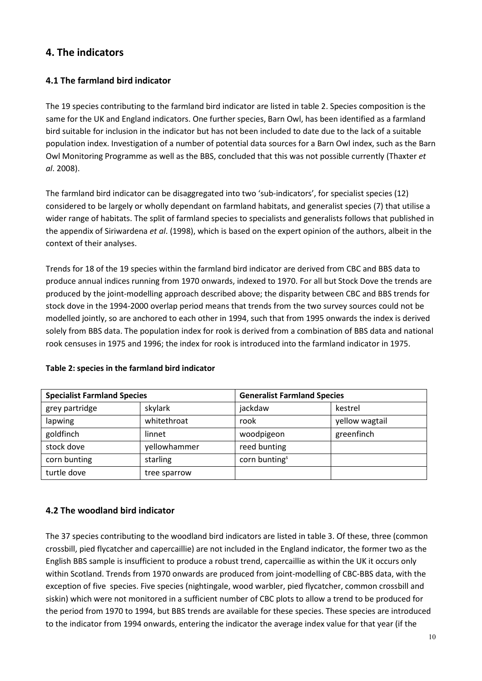### **4. The indicators**

### **4.1 The farmland bird indicator**

The 19 species contributing to the farmland bird indicator are listed in table 2. Species composition is the same for the UK and England indicators. One further species, Barn Owl, has been identified as a farmland bird suitable for inclusion in the indicator but has not been included to date due to the lack of a suitable population index. Investigation of a number of potential data sources for a Barn Owl index, such as the Barn Owl Monitoring Programme as well as the BBS, concluded that this was not possible currently (Thaxter *et al*. 2008).

The farmland bird indicator can be disaggregated into two 'sub-indicators', for specialist species (12) considered to be largely or wholly dependant on farmland habitats, and generalist species (7) that utilise a wider range of habitats. The split of farmland species to specialists and generalists follows that published in the appendix of Siriwardena *et al*. (1998), which is based on the expert opinion of the authors, albeit in the context of their analyses.

Trends for 18 of the 19 species within the farmland bird indicator are derived from CBC and BBS data to produce annual indices running from 1970 onwards, indexed to 1970. For all but Stock Dove the trends are produced by the joint-modelling approach described above; the disparity between CBC and BBS trends for stock dove in the 1994-2000 overlap period means that trends from the two survey sources could not be modelled jointly, so are anchored to each other in 1994, such that from 1995 onwards the index is derived solely from BBS data. The population index for rook is derived from a combination of BBS data and national rook censuses in 1975 and 1996; the index for rook is introduced into the farmland indicator in 1975.

| <b>Specialist Farmland Species</b> |              | <b>Generalist Farmland Species</b> |                |
|------------------------------------|--------------|------------------------------------|----------------|
| grey partridge                     | skylark      | jackdaw                            | kestrel        |
| lapwing                            | whitethroat  | rook                               | yellow wagtail |
| goldfinch                          | linnet       | woodpigeon                         | greenfinch     |
| stock dove                         | yellowhammer | reed bunting                       |                |
| corn bunting                       | starling     | corn bunting <sup>s</sup>          |                |
| turtle dove                        | tree sparrow |                                    |                |

#### **Table 2: species in the farmland bird indicator**

### **4.2 The woodland bird indicator**

The 37 species contributing to the woodland bird indicators are listed in table 3. Of these, three (common crossbill, pied flycatcher and capercaillie) are not included in the England indicator, the former two as the English BBS sample is insufficient to produce a robust trend, capercaillie as within the UK it occurs only within Scotland. Trends from 1970 onwards are produced from joint-modelling of CBC-BBS data, with the exception of five species. Five species (nightingale, wood warbler, pied flycatcher, common crossbill and siskin) which were not monitored in a sufficient number of CBC plots to allow a trend to be produced for the period from 1970 to 1994, but BBS trends are available for these species. These species are introduced to the indicator from 1994 onwards, entering the indicator the average index value for that year (if the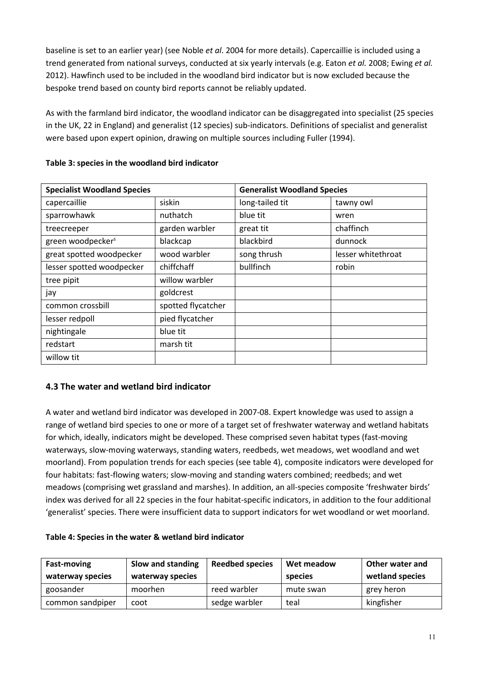baseline is set to an earlier year) (see Noble *et al*. 2004 for more details). Capercaillie is included using a trend generated from national surveys, conducted at six yearly intervals (e.g. Eaton *et al.* 2008; Ewing *et al.*  2012). Hawfinch used to be included in the woodland bird indicator but is now excluded because the bespoke trend based on county bird reports cannot be reliably updated.

As with the farmland bird indicator, the woodland indicator can be disaggregated into specialist (25 species in the UK, 22 in England) and generalist (12 species) sub-indicators. Definitions of specialist and generalist were based upon expert opinion, drawing on multiple sources including Fuller (1994).

| <b>Specialist Woodland Species</b> |                    | <b>Generalist Woodland Species</b> |                    |
|------------------------------------|--------------------|------------------------------------|--------------------|
| capercaillie                       | siskin             | long-tailed tit                    | tawny owl          |
| sparrowhawk                        | nuthatch           | blue tit                           | wren               |
| treecreeper                        | garden warbler     | great tit                          | chaffinch          |
| green woodpecker <sup>s</sup>      | blackcap           | blackbird                          | dunnock            |
| great spotted woodpecker           | wood warbler       | song thrush                        | lesser whitethroat |
| lesser spotted woodpecker          | chiffchaff         | bullfinch                          | robin              |
| tree pipit                         | willow warbler     |                                    |                    |
| jay                                | goldcrest          |                                    |                    |
| common crossbill                   | spotted flycatcher |                                    |                    |
| lesser redpoll                     | pied flycatcher    |                                    |                    |
| nightingale                        | blue tit           |                                    |                    |
| redstart                           | marsh tit          |                                    |                    |
| willow tit                         |                    |                                    |                    |

### **Table 3: species in the woodland bird indicator**

### **4.3 The water and wetland bird indicator**

A water and wetland bird indicator was developed in 2007-08. Expert knowledge was used to assign a range of wetland bird species to one or more of a target set of freshwater waterway and wetland habitats for which, ideally, indicators might be developed. These comprised seven habitat types (fast-moving waterways, slow-moving waterways, standing waters, reedbeds, wet meadows, wet woodland and wet moorland). From population trends for each species (see table 4), composite indicators were developed for four habitats: fast-flowing waters; slow-moving and standing waters combined; reedbeds; and wet meadows (comprising wet grassland and marshes). In addition, an all-species composite 'freshwater birds' index was derived for all 22 species in the four habitat-specific indicators, in addition to the four additional 'generalist' species. There were insufficient data to support indicators for wet woodland or wet moorland.

| <b>Fast-moving</b><br>waterway species | Slow and standing<br>waterway species | <b>Reedbed species</b> | Wet meadow<br>species | Other water and<br>wetland species |
|----------------------------------------|---------------------------------------|------------------------|-----------------------|------------------------------------|
| goosander                              | moorhen                               | reed warbler           | mute swan             | grey heron                         |
| common sandpiper                       | coot                                  | sedge warbler          | teal                  | kingfisher                         |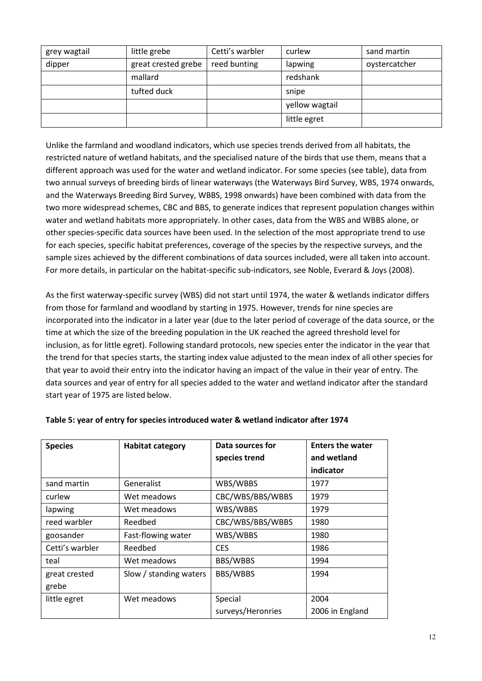| grey wagtail | little grebe        | Cetti's warbler | curlew         | sand martin   |
|--------------|---------------------|-----------------|----------------|---------------|
| dipper       | great crested grebe | reed bunting    | lapwing        | oystercatcher |
|              | mallard             |                 | redshank       |               |
|              | tufted duck         |                 | snipe          |               |
|              |                     |                 | yellow wagtail |               |
|              |                     |                 | little egret   |               |

Unlike the farmland and woodland indicators, which use species trends derived from all habitats, the restricted nature of wetland habitats, and the specialised nature of the birds that use them, means that a different approach was used for the water and wetland indicator. For some species (see table), data from two annual surveys of breeding birds of linear waterways (the Waterways Bird Survey, WBS, 1974 onwards, and the Waterways Breeding Bird Survey, WBBS, 1998 onwards) have been combined with data from the two more widespread schemes, CBC and BBS, to generate indices that represent population changes within water and wetland habitats more appropriately. In other cases, data from the WBS and WBBS alone, or other species-specific data sources have been used. In the selection of the most appropriate trend to use for each species, specific habitat preferences, coverage of the species by the respective surveys, and the sample sizes achieved by the different combinations of data sources included, were all taken into account. For more details, in particular on the habitat-specific sub-indicators, see Noble, Everard & Joys (2008).

As the first waterway-specific survey (WBS) did not start until 1974, the water & wetlands indicator differs from those for farmland and woodland by starting in 1975. However, trends for nine species are incorporated into the indicator in a later year (due to the later period of coverage of the data source, or the time at which the size of the breeding population in the UK reached the agreed threshold level for inclusion, as for little egret). Following standard protocols, new species enter the indicator in the year that the trend for that species starts, the starting index value adjusted to the mean index of all other species for that year to avoid their entry into the indicator having an impact of the value in their year of entry. The data sources and year of entry for all species added to the water and wetland indicator after the standard start year of 1975 are listed below.

| <b>Species</b>  | <b>Habitat category</b> | Data sources for  | <b>Enters the water</b> |
|-----------------|-------------------------|-------------------|-------------------------|
|                 |                         | species trend     | and wetland             |
|                 |                         |                   | indicator               |
| sand martin     | Generalist              | WBS/WBBS          | 1977                    |
| curlew          | Wet meadows             | CBC/WBS/BBS/WBBS  | 1979                    |
| lapwing         | Wet meadows             | WBS/WBBS          | 1979                    |
| reed warbler    | Reedbed                 | CBC/WBS/BBS/WBBS  | 1980                    |
| goosander       | Fast-flowing water      | WBS/WBBS          | 1980                    |
| Cetti's warbler | Reedbed                 | <b>CES</b>        | 1986                    |
| teal            | Wet meadows             | BBS/WBBS          | 1994                    |
| great crested   | Slow / standing waters  | BBS/WBBS          | 1994                    |
| grebe           |                         |                   |                         |
| little egret    | Wet meadows             | Special           | 2004                    |
|                 |                         | surveys/Heronries | 2006 in England         |

#### **Table 5: year of entry for species introduced water & wetland indicator after 1974**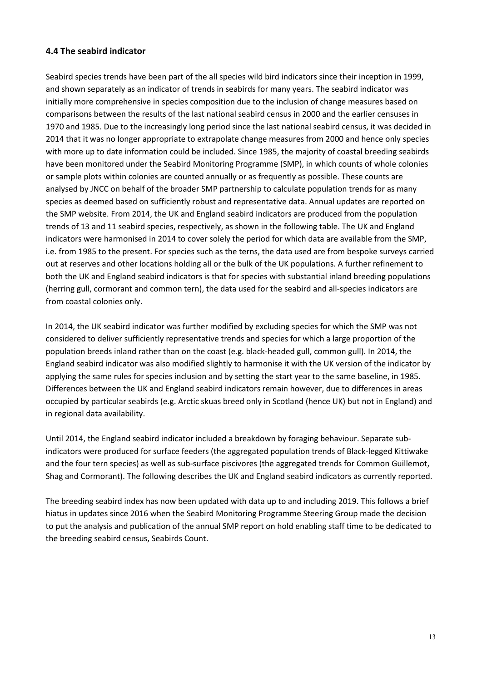### **4.4 The seabird indicator**

Seabird species trends have been part of the all species wild bird indicators since their inception in 1999, and shown separately as an indicator of trends in seabirds for many years. The seabird indicator was initially more comprehensive in species composition due to the inclusion of change measures based on comparisons between the results of the last national seabird census in 2000 and the earlier censuses in 1970 and 1985. Due to the increasingly long period since the last national seabird census, it was decided in 2014 that it was no longer appropriate to extrapolate change measures from 2000 and hence only species with more up to date information could be included. Since 1985, the majority of coastal breeding seabirds have been monitored under the Seabird Monitoring Programme (SMP), in which counts of whole colonies or sample plots within colonies are counted annually or as frequently as possible. These counts are analysed by JNCC on behalf of the broader SMP partnership to calculate population trends for as many species as deemed based on sufficiently robust and representative data. Annual updates are reported on the SMP website. From 2014, the UK and England seabird indicators are produced from the population trends of 13 and 11 seabird species, respectively, as shown in the following table. The UK and England indicators were harmonised in 2014 to cover solely the period for which data are available from the SMP, i.e. from 1985 to the present. For species such as the terns, the data used are from bespoke surveys carried out at reserves and other locations holding all or the bulk of the UK populations. A further refinement to both the UK and England seabird indicators is that for species with substantial inland breeding populations (herring gull, cormorant and common tern), the data used for the seabird and all-species indicators are from coastal colonies only.

In 2014, the UK seabird indicator was further modified by excluding species for which the SMP was not considered to deliver sufficiently representative trends and species for which a large proportion of the population breeds inland rather than on the coast (e.g. black-headed gull, common gull). In 2014, the England seabird indicator was also modified slightly to harmonise it with the UK version of the indicator by applying the same rules for species inclusion and by setting the start year to the same baseline, in 1985. Differences between the UK and England seabird indicators remain however, due to differences in areas occupied by particular seabirds (e.g. Arctic skuas breed only in Scotland (hence UK) but not in England) and in regional data availability.

Until 2014, the England seabird indicator included a breakdown by foraging behaviour. Separate subindicators were produced for surface feeders (the aggregated population trends of Black-legged Kittiwake and the four tern species) as well as sub-surface piscivores (the aggregated trends for Common Guillemot, Shag and Cormorant). The following describes the UK and England seabird indicators as currently reported.

The breeding seabird index has now been updated with data up to and including 2019. This follows a brief hiatus in updates since 2016 when the Seabird Monitoring Programme Steering Group made the decision to put the analysis and publication of the annual SMP report on hold enabling staff time to be dedicated to the breeding seabird census, Seabirds Count.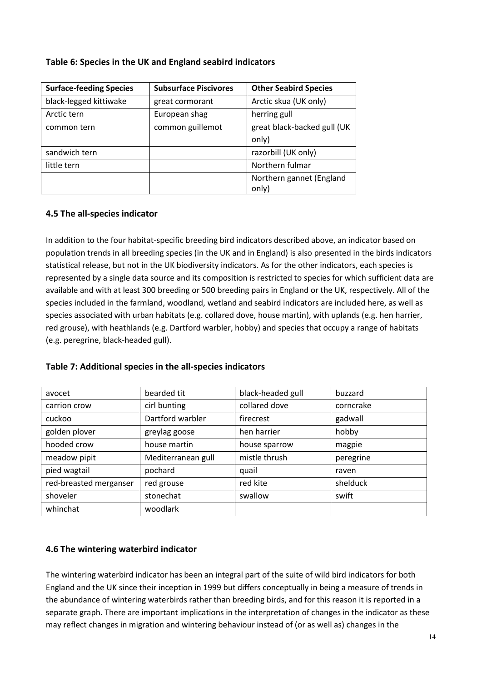|  |  | Table 6: Species in the UK and England seabird indicators |  |
|--|--|-----------------------------------------------------------|--|
|--|--|-----------------------------------------------------------|--|

| <b>Surface-feeding Species</b> | <b>Subsurface Piscivores</b> | <b>Other Seabird Species</b> |
|--------------------------------|------------------------------|------------------------------|
| black-legged kittiwake         | great cormorant              | Arctic skua (UK only)        |
| Arctic tern                    | European shag                | herring gull                 |
| common tern                    | common guillemot             | great black-backed gull (UK  |
|                                |                              | only)                        |
| sandwich tern                  |                              | razorbill (UK only)          |
| little tern                    |                              | Northern fulmar              |
|                                |                              | Northern gannet (England     |
|                                |                              | only)                        |

### **4.5 The all-species indicator**

In addition to the four habitat-specific breeding bird indicators described above, an indicator based on population trends in all breeding species (in the UK and in England) is also presented in the birds indicators statistical release, but not in the UK biodiversity indicators. As for the other indicators, each species is represented by a single data source and its composition is restricted to species for which sufficient data are available and with at least 300 breeding or 500 breeding pairs in England or the UK, respectively. All of the species included in the farmland, woodland, wetland and seabird indicators are included here, as well as species associated with urban habitats (e.g. collared dove, house martin), with uplands (e.g. hen harrier, red grouse), with heathlands (e.g. Dartford warbler, hobby) and species that occupy a range of habitats (e.g. peregrine, black-headed gull).

| avocet                 | bearded tit        | black-headed gull | buzzard   |
|------------------------|--------------------|-------------------|-----------|
| carrion crow           | cirl bunting       | collared dove     | corncrake |
| cuckoo                 | Dartford warbler   | firecrest         | gadwall   |
| golden plover          | greylag goose      | hen harrier       | hobby     |
| hooded crow            | house martin       | house sparrow     | magpie    |
| meadow pipit           | Mediterranean gull | mistle thrush     | peregrine |
| pied wagtail           | pochard            | quail             | raven     |
| red-breasted merganser | red grouse         | red kite          | shelduck  |
| shoveler               | stonechat          | swallow           | swift     |
| whinchat               | woodlark           |                   |           |

### **4.6 The wintering waterbird indicator**

The wintering waterbird indicator has been an integral part of the suite of wild bird indicators for both England and the UK since their inception in 1999 but differs conceptually in being a measure of trends in the abundance of wintering waterbirds rather than breeding birds, and for this reason it is reported in a separate graph. There are important implications in the interpretation of changes in the indicator as these may reflect changes in migration and wintering behaviour instead of (or as well as) changes in the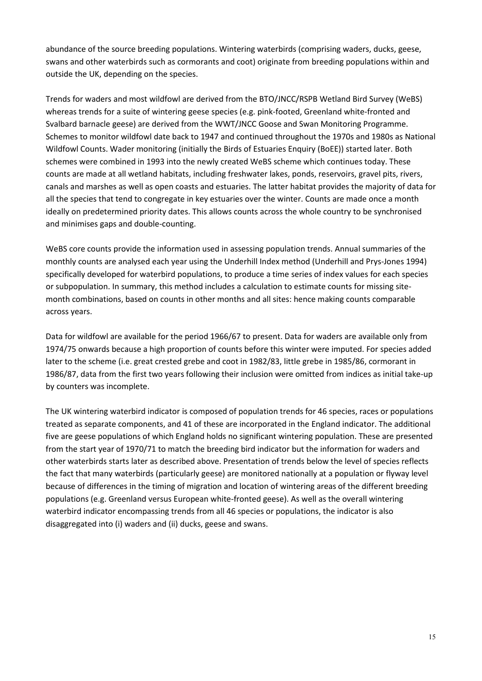abundance of the source breeding populations. Wintering waterbirds (comprising waders, ducks, geese, swans and other waterbirds such as cormorants and coot) originate from breeding populations within and outside the UK, depending on the species.

Trends for waders and most wildfowl are derived from the BTO/JNCC/RSPB Wetland Bird Survey (WeBS) whereas trends for a suite of wintering geese species (e.g. pink-footed, Greenland white-fronted and Svalbard barnacle geese) are derived from the WWT/JNCC Goose and Swan Monitoring Programme. Schemes to monitor wildfowl date back to 1947 and continued throughout the 1970s and 1980s as National Wildfowl Counts. Wader monitoring (initially the Birds of Estuaries Enquiry (BoEE)) started later. Both schemes were combined in 1993 into the newly created WeBS scheme which continues today. These counts are made at all wetland habitats, including freshwater lakes, ponds, reservoirs, gravel pits, rivers, canals and marshes as well as open coasts and estuaries. The latter habitat provides the majority of data for all the species that tend to congregate in key estuaries over the winter. Counts are made once a month ideally on predetermined priority dates. This allows counts across the whole country to be synchronised and minimises gaps and double-counting.

WeBS core counts provide the information used in assessing population trends. Annual summaries of the monthly counts are analysed each year using the Underhill Index method (Underhill and Prys-Jones 1994) specifically developed for waterbird populations, to produce a time series of index values for each species or subpopulation. In summary, this method includes a calculation to estimate counts for missing sitemonth combinations, based on counts in other months and all sites: hence making counts comparable across years.

Data for wildfowl are available for the period 1966/67 to present. Data for waders are available only from 1974/75 onwards because a high proportion of counts before this winter were imputed. For species added later to the scheme (i.e. great crested grebe and coot in 1982/83, little grebe in 1985/86, cormorant in 1986/87, data from the first two years following their inclusion were omitted from indices as initial take-up by counters was incomplete.

The UK wintering waterbird indicator is composed of population trends for 46 species, races or populations treated as separate components, and 41 of these are incorporated in the England indicator. The additional five are geese populations of which England holds no significant wintering population. These are presented from the start year of 1970/71 to match the breeding bird indicator but the information for waders and other waterbirds starts later as described above. Presentation of trends below the level of species reflects the fact that many waterbirds (particularly geese) are monitored nationally at a population or flyway level because of differences in the timing of migration and location of wintering areas of the different breeding populations (e.g. Greenland versus European white-fronted geese). As well as the overall wintering waterbird indicator encompassing trends from all 46 species or populations, the indicator is also disaggregated into (i) waders and (ii) ducks, geese and swans.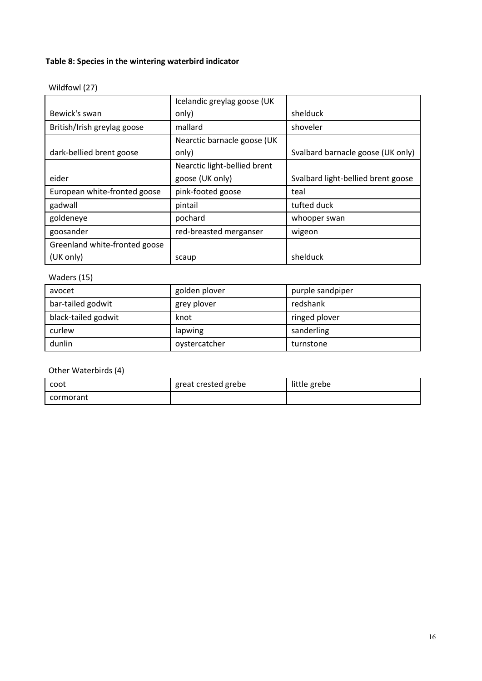### **Table 8: Species in the wintering waterbird indicator**

| Wildfowl (27) |  |
|---------------|--|
|---------------|--|

|                               | Icelandic greylag goose (UK  |                                    |
|-------------------------------|------------------------------|------------------------------------|
| Bewick's swan                 | only)                        | shelduck                           |
| British/Irish greylag goose   | mallard                      | shoveler                           |
|                               | Nearctic barnacle goose (UK  |                                    |
| dark-bellied brent goose      | only)                        | Svalbard barnacle goose (UK only)  |
|                               | Nearctic light-bellied brent |                                    |
| eider                         | goose (UK only)              | Svalbard light-bellied brent goose |
| European white-fronted goose  | pink-footed goose            | teal                               |
| gadwall                       | pintail                      | tufted duck                        |
| goldeneye                     | pochard                      | whooper swan                       |
| goosander                     | red-breasted merganser       | wigeon                             |
| Greenland white-fronted goose |                              |                                    |
| (UK only)                     | scaup                        | shelduck                           |

### Waders (15)

| avocet              | golden plover | purple sandpiper |
|---------------------|---------------|------------------|
| bar-tailed godwit   | grey plover   | redshank         |
| black-tailed godwit | knot          | ringed plover    |
| curlew              | lapwing       | sanderling       |
| dunlin              | oystercatcher | turnstone        |

### Other Waterbirds (4)

| coot      | great crested grebe | little grebe |
|-----------|---------------------|--------------|
| cormorant |                     |              |